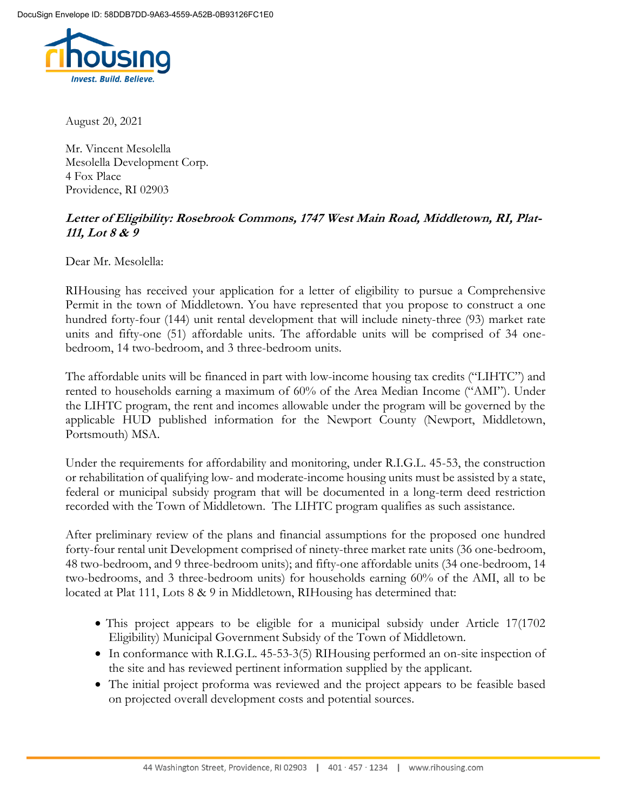

August 20, 2021

Mr. Vincent Mesolella Mesolella Development Corp. 4 Fox Place Providence, RI 02903

## **Letter of Eligibility: Rosebrook Commons, 1747 West Main Road, Middletown, RI, Plat-111, Lot 8 & 9**

Dear Mr. Mesolella:

RIHousing has received your application for a letter of eligibility to pursue a Comprehensive Permit in the town of Middletown. You have represented that you propose to construct a one hundred forty-four (144) unit rental development that will include ninety-three (93) market rate units and fifty-one (51) affordable units. The affordable units will be comprised of 34 onebedroom, 14 two-bedroom, and 3 three-bedroom units.

The affordable units will be financed in part with low-income housing tax credits ("LIHTC") and rented to households earning a maximum of 60% of the Area Median Income ("AMI"). Under the LIHTC program, the rent and incomes allowable under the program will be governed by the applicable HUD published information for the Newport County (Newport, Middletown, Portsmouth) MSA.

Under the requirements for affordability and monitoring, under R.I.G.L. 45-53, the construction or rehabilitation of qualifying low- and moderate-income housing units must be assisted by a state, federal or municipal subsidy program that will be documented in a long-term deed restriction recorded with the Town of Middletown. The LIHTC program qualifies as such assistance.

After preliminary review of the plans and financial assumptions for the proposed one hundred forty-four rental unit Development comprised of ninety-three market rate units (36 one-bedroom, 48 two-bedroom, and 9 three-bedroom units); and fifty-one affordable units (34 one-bedroom, 14 two-bedrooms, and 3 three-bedroom units) for households earning 60% of the AMI, all to be located at Plat 111, Lots 8 & 9 in Middletown, RIHousing has determined that:

- This project appears to be eligible for a municipal subsidy under Article 17(1702) Eligibility) Municipal Government Subsidy of the Town of Middletown.
- In conformance with R.I.G.L. 45-53-3(5) RIHousing performed an on-site inspection of the site and has reviewed pertinent information supplied by the applicant.
- The initial project proforma was reviewed and the project appears to be feasible based on projected overall development costs and potential sources.